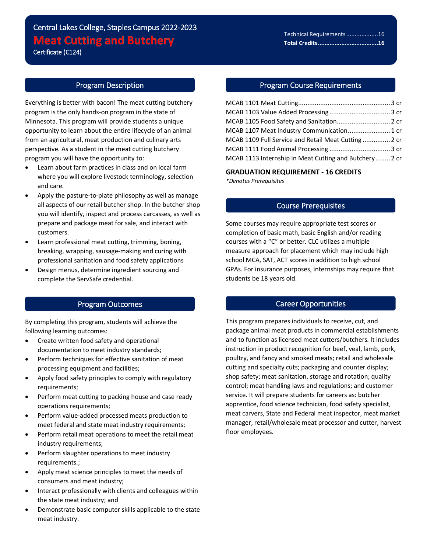# Central Lakes College, Staples Campus 2022-2023 **Meat Cutting and Butchery** Certificate (C124)

## Program Description

 $\overline{a}$ 

Everything is better with bacon! The meat cutting butchery program is the only hands-on program in the state of Minnesota. This program will provide students a unique opportunity to learn about the entire lifecycle of an animal from an agricultural, meat production and culinary arts perspective. As a student in the meat cutting butchery program you will have the opportunity to:

- Learn about farm practices in class and on local farm where you will explore livestock terminology, selection and care.
- Apply the pasture-to-plate philosophy as well as manage all aspects of our retail butcher shop. In the butcher shop you will identify, inspect and process carcasses, as well as prepare and package meat for sale, and interact with customers.
- Learn professional meat cutting, trimming, boning, breaking, wrapping, sausage-making and curing with professional sanitation and food safety applications
- Design menus, determine ingredient sourcing and complete the ServSafe credential.

#### Program Outcomes

By completing this program, students will achieve the following learning outcomes:

- Create written food safety and operational documentation to meet industry standards;
- Perform techniques for effective sanitation of meat processing equipment and facilities;
- Apply food safety principles to comply with regulatory requirements;
- Perform meat cutting to packing house and case ready operations requirements;
- Perform value-added processed meats production to meet federal and state meat industry requirements;
- Perform retail meat operations to meet the retail meat industry requirements;
- Perform slaughter operations to meet industry requirements.;
- Apply meat science principles to meet the needs of consumers and meat industry;
- Interact professionally with clients and colleagues within the state meat industry; and
- Demonstrate basic computer skills applicable to the state meat industry.

#### Program Course Requirements

| MCAB 1105 Food Safety and Sanitation 2 cr              |  |
|--------------------------------------------------------|--|
| MCAB 1107 Meat Industry Communication 1 cr             |  |
| MCAB 1109 Full Service and Retail Meat Cutting 2 cr    |  |
|                                                        |  |
| MCAB 1113 Internship in Meat Cutting and Butchery 2 cr |  |

**GRADUATION REQUIREMENT - 16 CREDITS** *\*Denotes Prerequisites*

#### Course Prerequisites

Some courses may require appropriate test scores or completion of basic math, basic English and/or reading courses with a "C" or better. CLC utilizes a multiple measure approach for placement which may include high school MCA, SAT, ACT scores in addition to high school GPAs. For insurance purposes, internships may require that students be 18 years old.

### Career Opportunities

This program prepares individuals to receive, cut, and package animal meat products in commercial establishments and to function as licensed meat cutters/butchers. It includes instruction in product recognition for beef, veal, lamb, pork, poultry, and fancy and smoked meats; retail and wholesale cutting and specialty cuts; packaging and counter display; shop safety; meat sanitation, storage and rotation; quality control; meat handling laws and regulations; and customer service. It will prepare students for careers as: butcher apprentice, food science technician, food safety specialist, meat carvers, State and Federal meat inspector, meat market manager, retail/wholesale meat processor and cutter, harvest floor employees.

Technical Requirements...................16 **Total Credits....................................16**